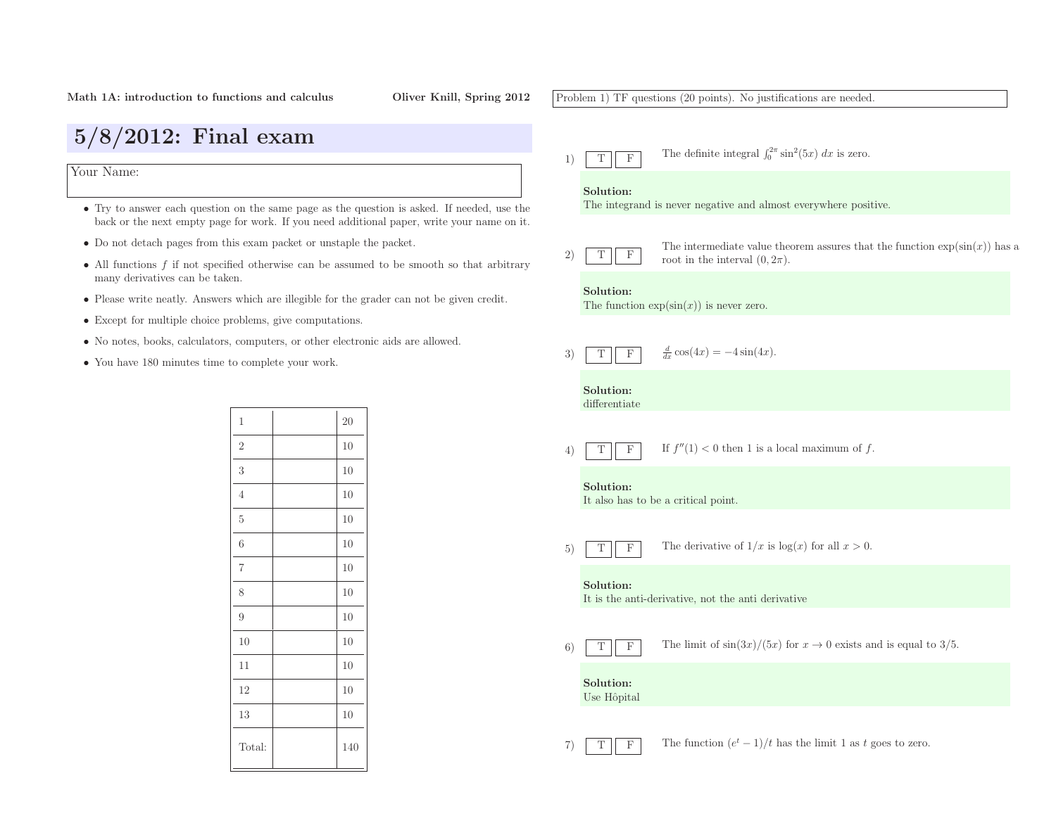5/8/2012: Final exam

many derivatives can be taken.

Your Name:

7)

T

F

Problem 1) TF questions (20 points). No justifications are needed. 1)TFThe definite integral  $\int_0^{2\pi} \sin^2(5x) dx$  is zero. Solution: The integrand is never negative and almost everywhere positive. 2)TFThe intermediate value theorem assures that the function  $\exp(\sin(x))$  has a root in the interval  $(0, 2\pi)$ . Solution:The function  $\exp(\sin(x))$  is never zero. 3)TF $\frac{d}{dx}\cos(4x) = -4\sin(4x).$ Solution: differentiate4)TF $\boxed{F}$  If  $f''(1) < 0$  then 1 is a local maximum of f. Solution: It also has to be <sup>a</sup> critical point. 5)TFThe derivative of  $1/x$  is  $log(x)$  for all  $x > 0$ . Solution: It is the anti-derivative, not the anti derivative 6)TFThe limit of  $\sin(3x)/(5x)$  for  $x \to 0$  exists and is equal to 3/5. Solution:Use Hôpital

The function  $(e^t - 1)/t$  has the limit 1 as t goes to zero.

• Except for multiple choice problems, <sup>g</sup>ive computations.

• Do not detach pages from this exam packet or unstaple the packet.

• No notes, books, calculators, computers, or other electronic aids are allowed.

• Try to answer each question on the same page as the question is asked. If needed, use the back or the next empty page for work. If you need additional paper, write your name on it.

• All functions  $f$  if not specified otherwise can be assumed to be smooth so that arbitrary

• Please write neatly. Answers which are illegible for the grader can not be <sup>g</sup>iven credit.

• You have <sup>180</sup> minutes time to complete your work.

| $\mathbf 1$    | $\overline{20}$ |
|----------------|-----------------|
| $\sqrt{2}$     | 10              |
| $\sqrt{3}$     | 10              |
| $\overline{4}$ | 10              |
| $\overline{5}$ | 10              |
| 6              | 10              |
| $\!\!7$        | 10              |
| 8              | 10              |
| 9              | 10              |
| 10             | 10              |
| 11             | 10              |
| 12             | 10              |
| 13             | 10              |
| Total:         | 140             |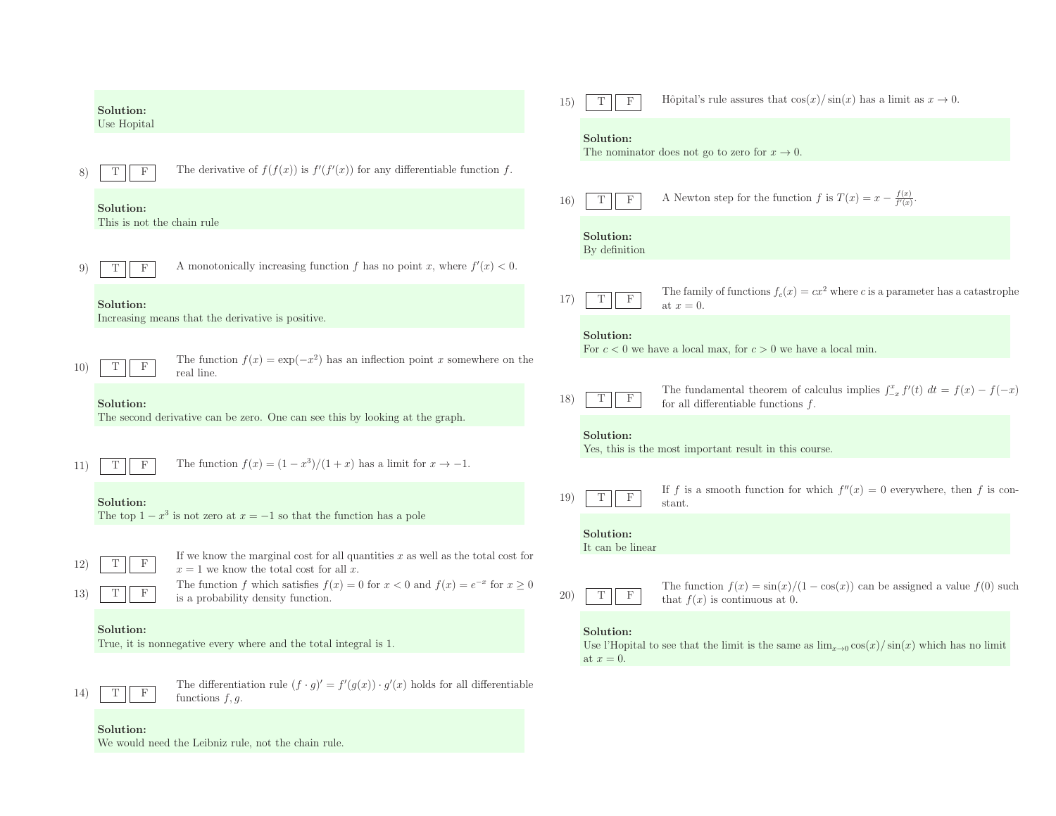|              | Solution:                               |                                                                                                                                | 15) | T<br>F                        | Hôpital's rule assures that $\cos(x)/\sin(x)$ has a limit as $x \to 0$ .                                                      |
|--------------|-----------------------------------------|--------------------------------------------------------------------------------------------------------------------------------|-----|-------------------------------|-------------------------------------------------------------------------------------------------------------------------------|
|              | Use Hopital                             |                                                                                                                                |     | Solution:                     | The nominator does not go to zero for $x \to 0$ .                                                                             |
|              | F                                       | The derivative of $f(f(x))$ is $f'(f'(x))$ for any differentiable function f.                                                  | 16) | $\mathbf F$<br>T              | A Newton step for the function f is $T(x) = x - \frac{f(x)}{f'(x)}$ .                                                         |
|              | Solution:<br>This is not the chain rule |                                                                                                                                |     | Solution:                     |                                                                                                                               |
|              | $_{\rm F}$                              | A monotonically increasing function f has no point x, where $f'(x) < 0$ .                                                      |     | By definition                 |                                                                                                                               |
|              | Solution:                               | Increasing means that the derivative is positive.                                                                              | 17) | T<br>$\mathbf{F}$             | The family of functions $f_c(x) = cx^2$ where c is a parameter has a catastrophe<br>at $x=0$ .                                |
|              |                                         |                                                                                                                                |     | Solution:                     | For $c < 0$ we have a local max, for $c > 0$ we have a local min.                                                             |
| $10^{\circ}$ |                                         | The function $f(x) = \exp(-x^2)$ has an inflection point x somewhere on the<br>real line.                                      |     |                               |                                                                                                                               |
|              | Solution:                               | The second derivative can be zero. One can see this by looking at the graph.                                                   | 18) | $\mathbf F$<br>T              | The fundamental theorem of calculus implies $\int_{-x}^{x} f'(t) dt = f(x) - f(-x)$<br>for all differentiable functions $f$ . |
|              |                                         |                                                                                                                                |     | Solution:                     | Yes, this is the most important result in this course.                                                                        |
| 11)          | $\mathbf{F}$<br>T                       | The function $f(x) = (1 - x^3)/(1 + x)$ has a limit for $x \to -1$ .                                                           |     |                               |                                                                                                                               |
|              | Solution:                               | The top $1-x^3$ is not zero at $x=-1$ so that the function has a pole                                                          | 19) | $\mathbf F$<br>T              | If f is a smooth function for which $f''(x) = 0$ everywhere, then f is con-<br>stant.                                         |
|              |                                         |                                                                                                                                |     | Solution:<br>It can be linear |                                                                                                                               |
| 12)          | F                                       | If we know the marginal cost for all quantities $x$ as well as the total cost for<br>$x = 1$ we know the total cost for all x. |     |                               |                                                                                                                               |
| 13)          |                                         | The function f which satisfies $f(x) = 0$ for $x < 0$ and $f(x) = e^{-x}$ for $x \ge 0$<br>is a probability density function.  | 20) | $\mathbf F$<br>T              | The function $f(x) = \frac{\sin(x)}{1 - \cos(x)}$ can be assigned a value $f(0)$ such<br>that $f(x)$ is continuous at 0.      |
|              | Solution:                               | True, it is nonnegative every where and the total integral is 1.                                                               |     | Solution:<br>at $x=0$ .       | Use l'Hopital to see that the limit is the same as $\lim_{x\to 0} \cos(x)/\sin(x)$ which has no limit                         |
| 14           |                                         | The differentiation rule $(f \cdot g)' = f'(g(x)) \cdot g'(x)$ holds for all differentiable<br>functions $f, q$ .              |     |                               |                                                                                                                               |

Solution:

We would need the Leibniz rule, not the chain rule.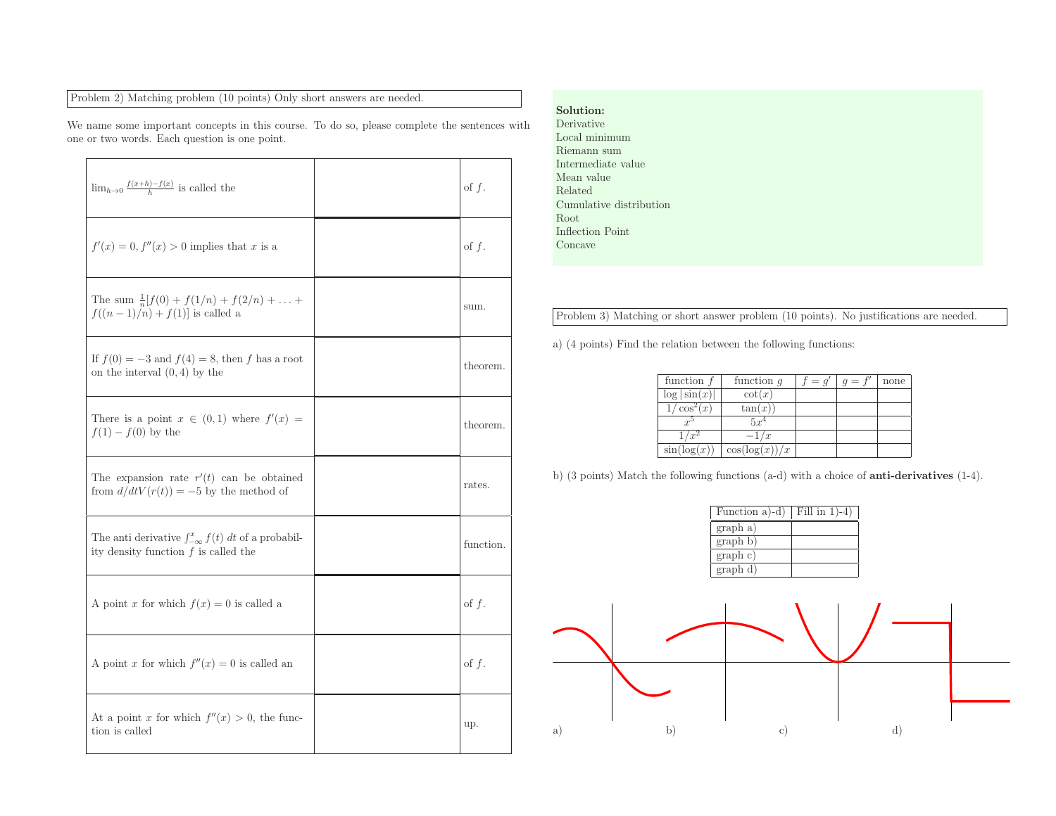## Problem 2) Matching problem (10 points) Only short answers are needed.

 $\Gamma$ 

We name some important concepts in this course. To do so, <sup>p</sup>lease complete the sentences withone or two words. Each question is one point.

| $\lim_{h\to 0} \frac{f(x+h)-f(x)}{h}$ is called the                                                       | of $f$ .  |
|-----------------------------------------------------------------------------------------------------------|-----------|
| $f'(x) = 0, f''(x) > 0$ implies that x is a                                                               | of $f$ .  |
| The sum $\frac{1}{n}[f(0) + f(1/n) + f(2/n) + \ldots +$<br>$f((n-1)/n) + f(1)$ is called a                | sum.      |
| If $f(0) = -3$ and $f(4) = 8$ , then f has a root<br>on the interval $(0, 4)$ by the                      | theorem.  |
| There is a point $x \in (0,1)$ where $f'(x) =$<br>$f(1) - f(0)$ by the                                    | theorem.  |
| The expansion rate $r'(t)$ can be obtained<br>from $d/dtV(r(t)) = -5$ by the method of                    | rates.    |
| The anti derivative $\int_{-\infty}^{x} f(t) dt$ of a probabil-<br>ity density function $f$ is called the | function. |
| A point x for which $f(x) = 0$ is called a                                                                | of $f$ .  |
| A point x for which $f''(x) = 0$ is called an                                                             | of $f$ .  |
| At a point x for which $f''(x) > 0$ , the func-<br>tion is called                                         | up.       |

## Solution: Derivative Local minimum Riemann sum Intermediate value Mean value Related Cumulative distributionRoot Inflection Point Concave

Problem 3) Matching or short answer problem (10 points). No justifications are needed.

a) (4 points) Find the relation between the following functions:

| function $f$    | function $q$      | $= q'$ | $g = t$ | none |
|-----------------|-------------------|--------|---------|------|
| $\log \sin(x) $ | $\cot(x)$         |        |         |      |
| $\cos^2(x)$     | tan(x)            |        |         |      |
| r <sup>5</sup>  | $5x^4$            |        |         |      |
|                 | $-1/x$            |        |         |      |
| $\sin(\log(x))$ | $\cos(\log(x))/x$ |        |         |      |

b) (3 points) Match the following functions (a-d) with <sup>a</sup> choice of anti-derivatives (1-4).

| Function a)-d)               | Fill in $1$ )-4) |
|------------------------------|------------------|
| graph a)                     |                  |
| $\overline{\text{graph}}$ b) |                  |
| graph c)                     |                  |
| graph d)                     |                  |
|                              |                  |
|                              |                  |
|                              |                  |

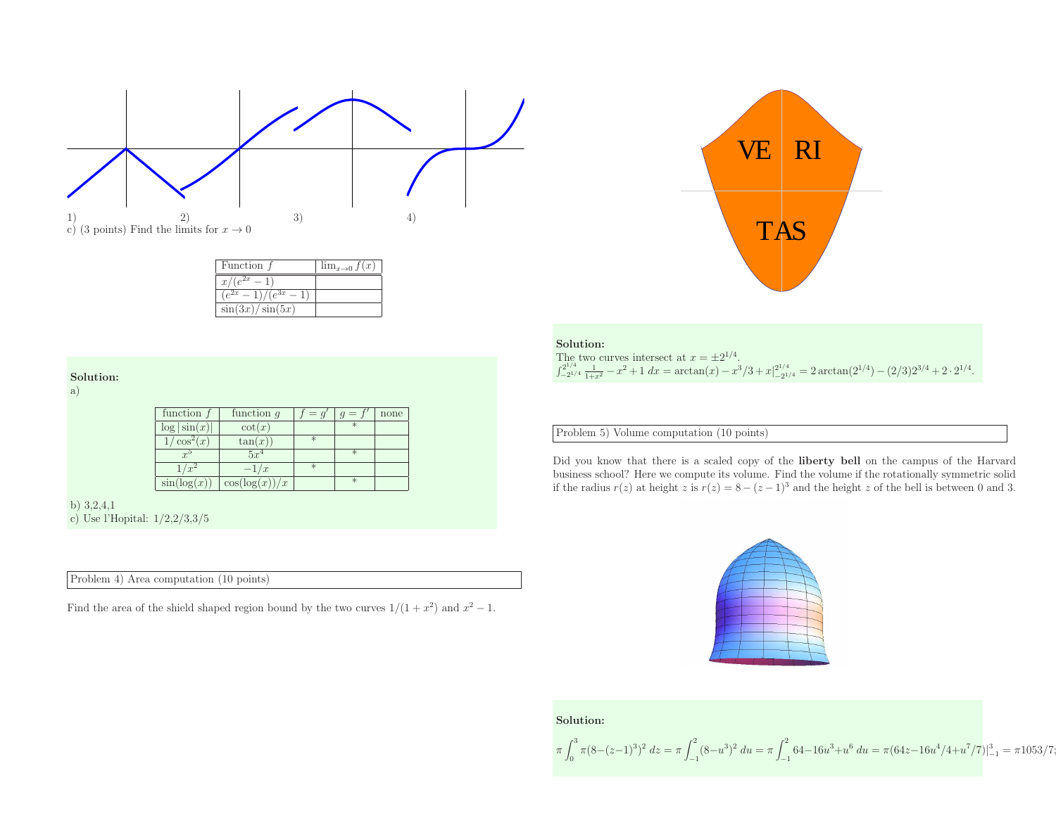

| Function i              | $\lim_{x\to 0} f(x)$ |
|-------------------------|----------------------|
| $e^{2x} =$<br>x/        |                      |
| $(e^{2x}-1)/(e^{3x}-1)$ |                      |
| $\sin(3x)/\sin(5x)$     |                      |

### Solution:

a)

| function $f$    | function $q$      | $= q'$ | $g = t$ | none |
|-----------------|-------------------|--------|---------|------|
| $\log \sin(x) $ | $\cot(x)$         |        | $*$     |      |
| $\cos^2(x)$     | tan(x)            | $\ast$ |         |      |
| $r^{5}$         | $5r^4$            |        | $\ast$  |      |
|                 | $-1/x$            | $\ast$ |         |      |
| sin(log(x))     | $\cos(\log(x))/x$ |        | $\ast$  |      |

b) 3,2,4,1 c) Use l'Hopital: 1/2,2/3,3/5

Problem 4) Area computation (10 points)

Find the area of the shield shaped region bound by the two curves  $1/(1 + x^2)$  and  $x^2 - 1$ .



| Solution:                                                                                                                                                             |  |
|-----------------------------------------------------------------------------------------------------------------------------------------------------------------------|--|
| The two curves intersect at $x = \pm 2^{1/4}$ .                                                                                                                       |  |
| $\int_{-2^{1/4}}^{2^{1/4}} \frac{1}{1+x^2} - x^2 + 1 \ dx = \arctan(x) - x^3/3 + x \Big _{-2^{1/4}}^{2^{1/4}} = 2 \arctan(2^{1/4}) - (2/3)2^{3/4} + 2 \cdot 2^{1/4}.$ |  |

Problem 5) Volume computation (10 points)

Did you know that there is <sup>a</sup> scaled copy of the liberty bell on the campus of the Harvard business school? Here we compute its volume. Find the volume if the rotationally symmetric solidif the radius  $r(z)$  at height z is  $r(z) = 8 - (z - 1)^3$  and the height z of the bell is between 0 and 3.



## Solution:

$$
\pi \int_0^3 \pi (8 - (z - 1)^3)^2 dz = \pi \int_{-1}^2 (8 - u^3)^2 du = \pi \int_{-1}^2 64 - 16u^3 + u^6 du = \pi (64z - 16u^4/4 + u^7/7)|_{-1}^3 = \pi 1053/7;
$$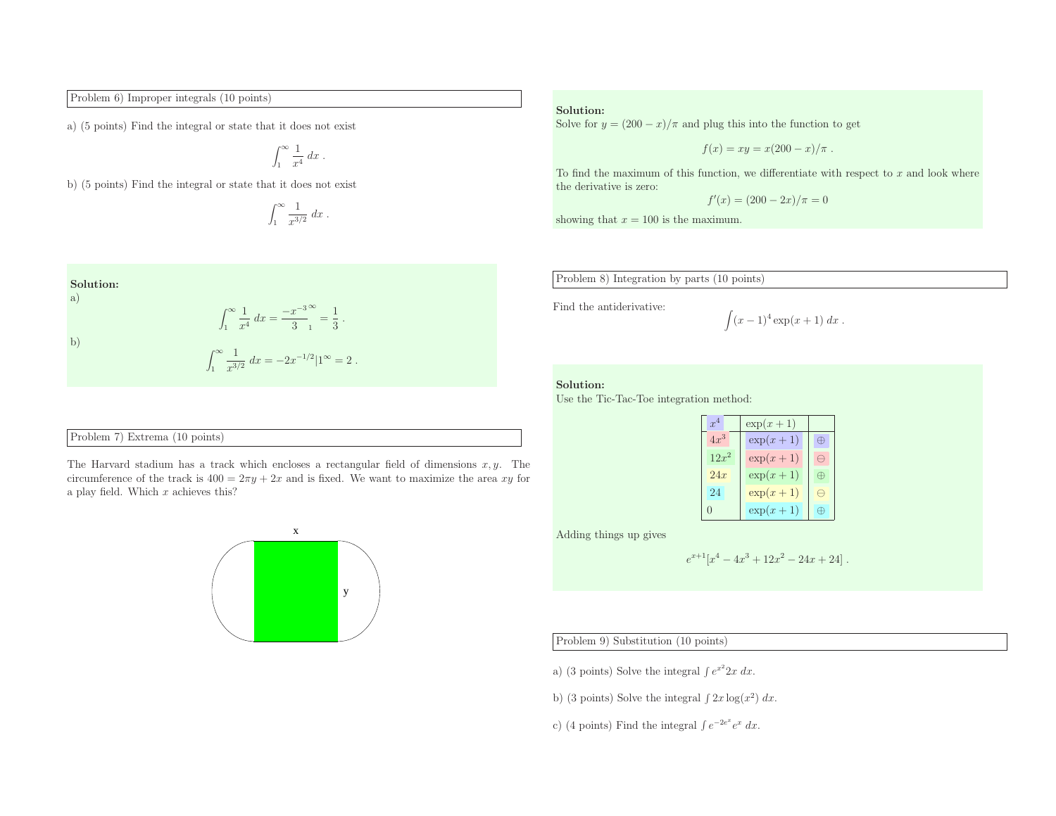Problem 6) Improper integrals (10 points)

a) (5 points) Find the integral or state that it does not exist

$$
\int_1^\infty \frac{1}{x^4} \, dx \; .
$$

b) (5 points) Find the integral or state that it does not exist

$$
\int_1^\infty \frac{1}{x^{3/2}} dx.
$$

Solution:  
\na)  
\n
$$
\int_{1}^{\infty} \frac{1}{x^4} dx = \frac{-x^{-3}}{3} \bigg|_{1}^{\infty} = \frac{1}{3}.
$$
\nb)  
\n
$$
\int_{1}^{\infty} \frac{1}{x^{3/2}} dx = -2x^{-1/2} |1^{\infty} = 2.
$$

## Problem 7) Extrema (10 points)

The Harvard stadium has a track which encloses a rectangular field of dimensions  $x, y$ . The circumference of the track is  $400 = 2\pi y + 2x$  and is fixed. We want to maximize the area xy for a play field. Which  $x$  achieves this?



#### Solution:

Solve for  $y = (200 - x)/\pi$  and plug this into the function to get

$$
f(x) = xy = x(200 - x)/\pi.
$$

To find the maximum of this function, we differentiate with respect to  $x$  and look where the derivative is zero:

$$
f'(x) = (200 - 2x)/\pi = 0
$$

showing that  $x = 100$  is the maximum.

Problem 8) Integration by parts (10 points)

Find the antiderivative:

$$
\int (x-1)^4 \exp(x+1) \ dx \ .
$$

### Solution:

Use the Tic-Tac-Toe integration method:

| r <sup>4</sup> | $\exp(x+1)$ |   |
|----------------|-------------|---|
| $4x^3$         | $\exp(x+1)$ | ₩ |
| $12x^2$        | $\exp(x+1)$ | ∍ |
| 24x            | $\exp(x+1)$ | ⊕ |
| 24             | $\exp(x+1)$ | ⊣ |
|                | $\exp(x+1)$ |   |

Adding things up <sup>g</sup>ives

$$
e^{x+1}[x^4 - 4x^3 + 12x^2 - 24x + 24].
$$

## Problem 9) Substitution (10 points)

a) (3 points) Solve the integral  $\int e^{x^2} 2x \, dx$ .

b) (3 points) Solve the integral  $\int 2x \log(x^2) dx$ .

c) (4 points) Find the integral  $\int e^{-2e^x}e^x dx$ .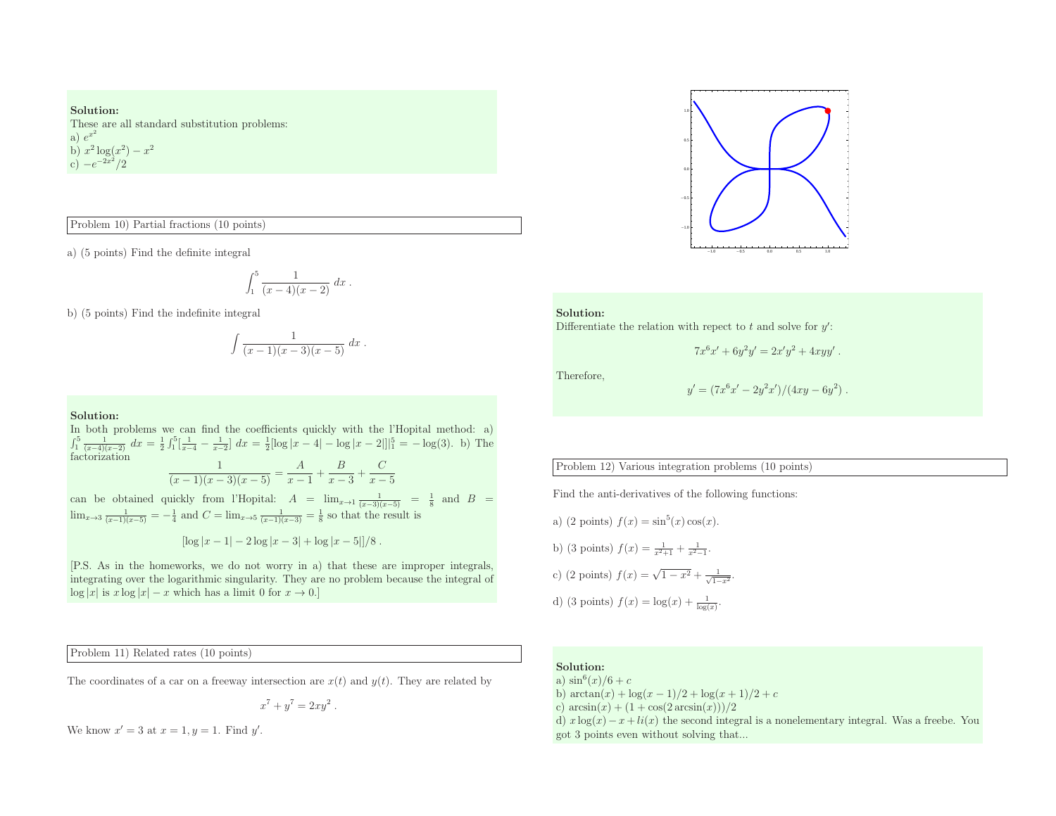# Solution:

These are all standard substitution problems: a)  $e^{x^2}$ b)  $x^2 \log(x^2) - x^2$ <br>c)  $-e^{-2x^2}/2$ 

## Problem 10) Partial fractions (10 points)

a) (5 points) Find the definite integral

$$
\int_1^5 \frac{1}{(x-4)(x-2)} \, dx \, .
$$

b) (5 points) Find the indefinite integral

$$
\int \frac{1}{(x-1)(x-3)(x-5)} \, dx \, .
$$

### Solution:

 In both problems we can find the coefficients quickly with the l'Hopital method: a)  $\int_1^5 \frac{1}{(x-4)(x-2)} dx = \frac{1}{2} \int_1^5 \left[ \frac{1}{x-4} - \frac{1}{x-2} \right] dx = \frac{1}{2} [\log |x-4| - \log |x-2|]_1^5 = -\log(3)$ . b) The factorization 1 $A$   $B$   $C$ and) Partial factoins (10 points)<br>
intel Find the britain integral<br>  $\int_1^2 (x-3)(x-2)^{d}x$ .<br>
Solutions<br>
Solutions<br>
Solutions<br>
Solutions<br>
Solutions<br>  $\int_1^2 (x-3)(x-2)^{d}x dx$ <br>
Directions<br>  $\int_1^2 (x-3)(x-3)^{d}x dx$ <br>
Directions<br>  $\$ 

$$
\frac{1}{(x-1)(x-3)(x-5)} = \frac{1}{x-1} + \frac{1}{x-3} + \frac{1}{x-5}
$$

can be obtained quickly from l'Hopital:  $A = \lim_{x \to 1} \frac{1}{(x-3)(x-5)} = \frac{1}{8}$  and  $B = \lim_{x \to 3} \frac{1}{(x-1)(x-5)} = -\frac{1}{4}$  and  $C = \lim_{x \to 5} \frac{1}{(x-1)(x-3)} = \frac{1}{8}$  so that the result is

$$
\left[\log|x-1| - 2\log|x-3| + \log|x-5|\right]/8.
$$

[P.S. As in the homeworks, we do not worry in a) that these are improper integrals, integrating over the logarithmic singularity. They are no problem because the integral of  $\log |x|$  is  $x \log |x| - x$  which has a limit 0 for  $x \to 0$ .]

Problem 11) Related rates (10 points)

The coordinates of a car on a freeway intersection are  $x(t)$  and  $y(t)$ . They are related by

$$
x^7 + y^7 = 2xy^2.
$$

We know  $x' = 3$  at  $x = 1$ ,  $y = 1$ . Find y'.



#### Solution:

Differentiate the relation with repect to  $t$  and solve for  $y'$ :

$$
7x^6x' + 6y^2y' = 2x'y^2 + 4xyy'.
$$

Therefore,

$$
y' = (7x^6x' - 2y^2x')/(4xy - 6y^2).
$$

## Problem 12) Various integration problems (10 points)

Find the anti-derivatives of the following functions:

a) (2 points) 
$$
f(x) = \sin^5(x) \cos(x)
$$
.  
b) (3 points)  $f(x) = \frac{1}{x^2 + 1} + \frac{1}{x^2 - 1}$ .  
c) (2 points)  $f(x) = \sqrt{1 - x^2} + \frac{1}{\sqrt{1 - x^2}}$ .

d) (3 points)  $f(x) = \log(x) + \frac{1}{\log(x)}$ .

### Solution:

a)  $\sin^6(x)/6 + c$ b)  $\arctan(x) + \log(x-1)/2 + \log(x+1)/2 + c$ 

c)  $arcsin(x) + (1 + cos(2 arcsin(x)))/2$ 

d)  $x \log(x) - x + li(x)$  the second integral is a nonelementary integral. Was a freebe. You got <sup>3</sup> points even without solving that...